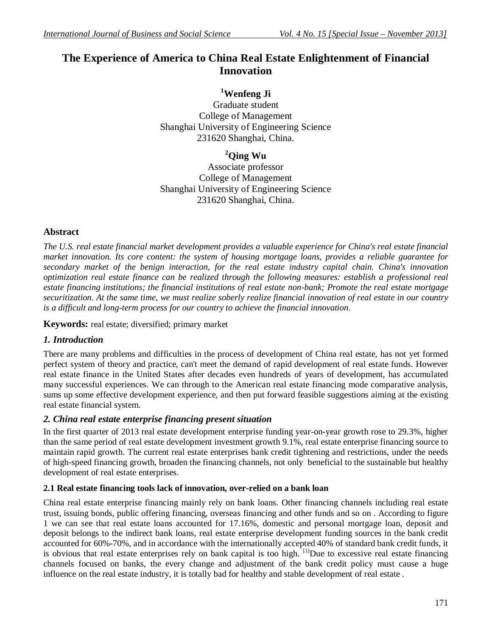## **The Experience of America to China Real Estate Enlightenment of Financial Innovation**

**<sup>1</sup>Wenfeng Ji**

Graduate student College of Management Shanghai University of Engineering Science 231620 Shanghai, China.

**<sup>2</sup>Qing Wu**

Associate professor College of Management Shanghai University of Engineering Science 231620 Shanghai, China.

## **Abstract**

*The U.S. real estate financial market development provides a valuable experience for China's real estate financial market innovation. Its core content: the system of housing mortgage loans, provides a reliable guarantee for secondary market of the benign interaction, for the real estate industry capital chain. China's innovation optimization real estate finance can be realized through the following measures: establish a professional real estate financing institutions; the financial institutions of real estate non-bank; Promote the real estate mortgage securitization. At the same time, we must realize soberly realize financial innovation of real estate in our country is a difficult and long-term process for our country to achieve the financial innovation*.

**Keywords:** real estate; diversified; primary market

## *1. Introduction*

There are many problems and difficulties in the process of development of China real estate, has not yet formed perfect system of theory and practice, can't meet the demand of rapid development of real estate funds. However real estate finance in the United States after decades even hundreds of years of development, has accumulated many successful experiences. We can through to the American real estate financing mode comparative analysis, sums up some effective development experience, and then put forward feasible suggestions aiming at the existing real estate financial system.

## *2. China real estate enterprise financing present situation*

In the first quarter of 2013 real estate development enterprise funding year-on-year growth rose to 29.3%, higher than the same period of real estate development investment growth 9.1%, real estate enterprise financing source to maintain rapid growth. The current real estate enterprises bank credit tightening and restrictions, under the needs of high-speed financing growth, broaden the financing channels, not only beneficial to the sustainable but healthy development of real estate enterprises.

#### **2.1 Real estate financing tools lack of innovation, over-relied on a bank loan**

China real estate enterprise financing mainly rely on bank loans. Other financing channels including real estate trust, issuing bonds, public offering financing, overseas financing and other funds and so on . According to figure 1 we can see that real estate loans accounted for 17.16%, domestic and personal mortgage loan, deposit and deposit belongs to the indirect bank loans, real estate enterprise development funding sources in the bank credit accounted for 60%-70%, and in accordance with the internationally accepted 40% of standard bank credit funds, it is obvious that real estate enterprises rely on bank capital is too high.  $[1]$ Due to excessive real estate financing channels focused on banks, the every change and adjustment of the bank credit policy must cause a huge influence on the real estate industry, it is totally bad for healthy and stable development of real estate .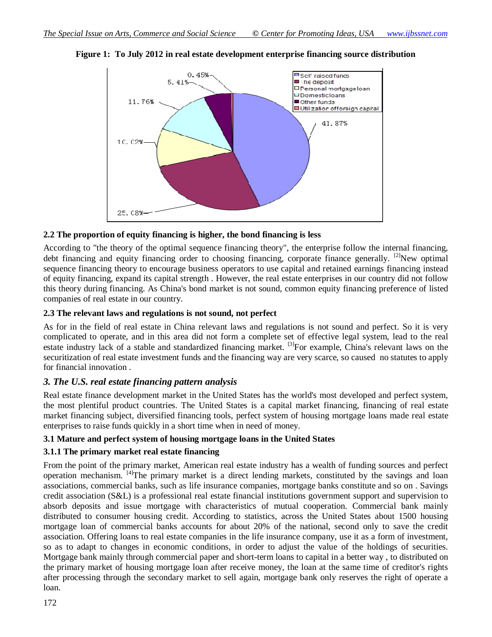

**Figure 1: To July 2012 in real estate development enterprise financing source distribution**

#### **2.2 The proportion of equity financing is higher, the bond financing is less**

According to "the theory of the optimal sequence financing theory", the enterprise follow the internal financing, debt financing and equity financing order to choosing financing, corporate finance generally. <sup>[2]</sup>New optimal sequence financing theory to encourage business operators to use capital and retained earnings financing instead of equity financing, expand its capital strength . However, the real estate enterprises in our country did not follow this theory during financing. As China's bond market is not sound, common equity financing preference of listed companies of real estate in our country.

#### **2.3 The relevant laws and regulations is not sound, not perfect**

As for in the field of real estate in China relevant laws and regulations is not sound and perfect. So it is very complicated to operate, and in this area did not form a complete set of effective legal system, lead to the real estate industry lack of a stable and standardized financing market. <sup>[3]</sup>For example, China's relevant laws on the securitization of real estate investment funds and the financing way are very scarce, so caused no statutes to apply for financial innovation .

# *3. The U.S. real estate financing pattern analysis*

Real estate finance development market in the United States has the world's most developed and perfect system, the most plentiful product countries. The United States is a capital market financing, financing of real estate market financing subject, diversified financing tools, perfect system of housing mortgage loans made real estate enterprises to raise funds quickly in a short time when in need of money.

## **3.1 Mature and perfect system of housing mortgage loans in the United States**

## **3.1.1 The primary market real estate financing**

From the point of the primary market, American real estate industry has a wealth of funding sources and perfect operation mechanism. [4]The primary market is a direct lending markets, constituted by the savings and loan associations, commercial banks, such as life insurance companies, mortgage banks constitute and so on . Savings credit association (S&L) is a professional real estate financial institutions government support and supervision to absorb deposits and issue mortgage with characteristics of mutual cooperation. Commercial bank mainly distributed to consumer housing credit. According to statistics, across the United States about 1500 housing mortgage loan of commercial banks accounts for about 20% of the national, second only to save the credit association. Offering loans to real estate companies in the life insurance company, use it as a form of investment, so as to adapt to changes in economic conditions, in order to adjust the value of the holdings of securities. Mortgage bank mainly through commercial paper and short-term loans to capital in a better way , to distributed on the primary market of housing mortgage loan after receive money, the loan at the same time of creditor's rights after processing through the secondary market to sell again, mortgage bank only reserves the right of operate a loan.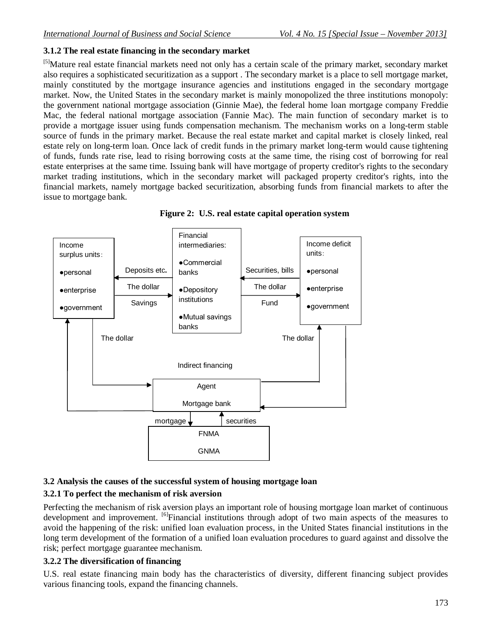## **3.1.2 The real estate financing in the secondary market**

<sup>[5]</sup>Mature real estate financial markets need not only has a certain scale of the primary market, secondary market also requires a sophisticated securitization as a support . The secondary market is a place to sell mortgage market, mainly constituted by the mortgage insurance agencies and institutions engaged in the secondary mortgage market. Now, the United States in the secondary market is mainly monopolized the three institutions monopoly: the government national mortgage association (Ginnie Mae), the federal home loan mortgage company Freddie Mac, the federal national mortgage association (Fannie Mac). The main function of secondary market is to provide a mortgage issuer using funds compensation mechanism. The mechanism works on a long-term stable source of funds in the primary market. Because the real estate market and capital market is closely linked, real estate rely on long-term loan. Once lack of credit funds in the primary market long-term would cause tightening of funds, funds rate rise, lead to rising borrowing costs at the same time, the rising cost of borrowing for real estate enterprises at the same time. Issuing bank will have mortgage of property creditor's rights to the secondary market trading institutions, which in the secondary market will packaged property creditor's rights, into the financial markets, namely mortgage backed securitization, absorbing funds from financial markets to after the issue to mortgage bank.





## **3.2 Analysis the causes of the successful system of housing mortgage loan**

#### **3.2.1 To perfect the mechanism of risk aversion**

Perfecting the mechanism of risk aversion plays an important role of housing mortgage loan market of continuous development and improvement. <sup>[6]</sup>Financial institutions through adopt of two main aspects of the measures to avoid the happening of the risk: unified loan evaluation process, in the United States financial institutions in the long term development of the formation of a unified loan evaluation procedures to guard against and dissolve the risk; perfect mortgage guarantee mechanism.

#### **3.2.2 The diversification of financing**

U.S. real estate financing main body has the characteristics of diversity, different financing subject provides various financing tools, expand the financing channels.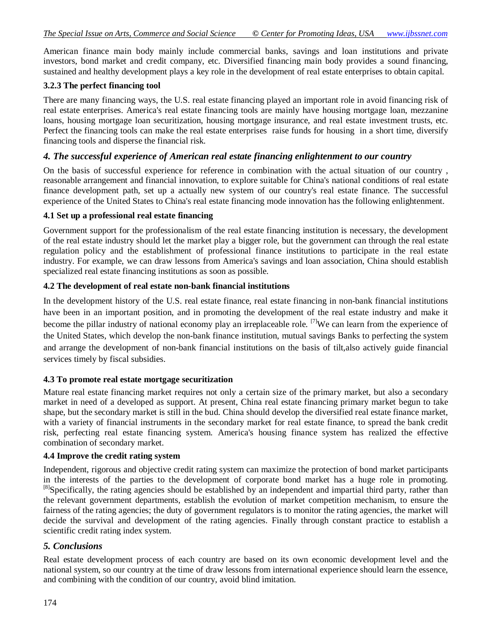American finance main body mainly include commercial banks, savings and loan institutions and private investors, bond market and credit company, etc. Diversified financing main body provides a sound financing, sustained and healthy development plays a key role in the development of real estate enterprises to obtain capital.

#### **3.2.3 The perfect financing tool**

There are many financing ways, the U.S. real estate financing played an important role in avoid financing risk of real estate enterprises. America's real estate financing tools are mainly have housing mortgage loan, mezzanine loans, housing mortgage loan securitization, housing mortgage insurance, and real estate investment trusts, etc. Perfect the financing tools can make the real estate enterprises raise funds for housing in a short time, diversify financing tools and disperse the financial risk.

### *4. The successful experience of American real estate financing enlightenment to our country*

On the basis of successful experience for reference in combination with the actual situation of our country , reasonable arrangement and financial innovation, to explore suitable for China's national conditions of real estate finance development path, set up a actually new system of our country's real estate finance. The successful experience of the United States to China's real estate financing mode innovation has the following enlightenment.

#### **4.1 Set up a professional real estate financing**

Government support for the professionalism of the real estate financing institution is necessary, the development of the real estate industry should let the market play a bigger role, but the government can through the real estate regulation policy and the establishment of professional finance institutions to participate in the real estate industry. For example, we can draw lessons from America's savings and loan association, China should establish specialized real estate financing institutions as soon as possible.

#### **4.2 The development of real estate non-bank financial institutions**

In the development history of the U.S. real estate finance, real estate financing in non-bank financial institutions have been in an important position, and in promoting the development of the real estate industry and make it become the pillar industry of national economy play an irreplaceable role. <sup>[7]</sup>We can learn from the experience of the United States, which develop the non-bank finance institution, mutual savings Banks to perfecting the system and arrange the development of non-bank financial institutions on the basis of tilt,also actively guide financial services timely by fiscal subsidies.

#### **4.3 To promote real estate mortgage securitization**

Mature real estate financing market requires not only a certain size of the primary market, but also a secondary market in need of a developed as support. At present, China real estate financing primary market begun to take shape, but the secondary market is still in the bud. China should develop the diversified real estate finance market, with a variety of financial instruments in the secondary market for real estate finance, to spread the bank credit risk, perfecting real estate financing system. America's housing finance system has realized the effective combination of secondary market.

#### **4.4 Improve the credit rating system**

Independent, rigorous and objective credit rating system can maximize the protection of bond market participants in the interests of the parties to the development of corporate bond market has a huge role in promoting.  $[8]$ Specifically, the rating agencies should be established by an independent and impartial third party, rather than the relevant government departments, establish the evolution of market competition mechanism, to ensure the fairness of the rating agencies; the duty of government regulators is to monitor the rating agencies, the market will decide the survival and development of the rating agencies. Finally through constant practice to establish a scientific credit rating index system.

#### *5. Conclusions*

Real estate development process of each country are based on its own economic development level and the national system, so our country at the time of draw lessons from international experience should learn the essence, and combining with the condition of our country, avoid blind imitation.